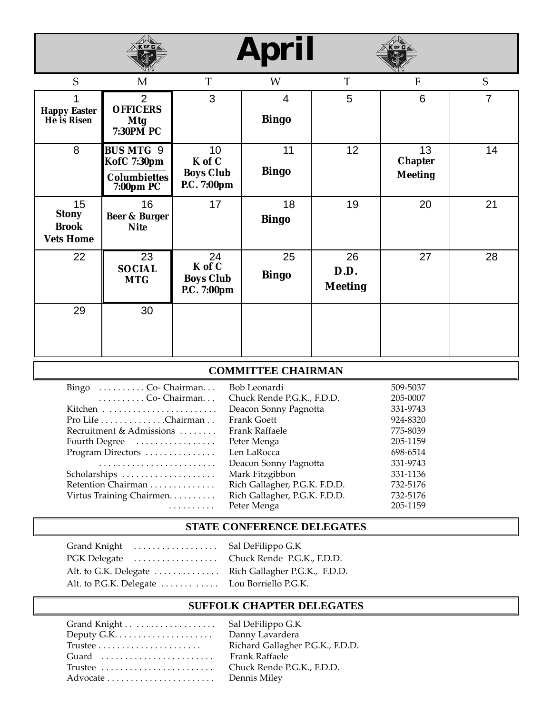# **April**



| S                                                      | A N W<br>M                                                          | T                                               | W                              | T                            | N V ®<br>F                             | S  |
|--------------------------------------------------------|---------------------------------------------------------------------|-------------------------------------------------|--------------------------------|------------------------------|----------------------------------------|----|
| <b>Happy Easter</b><br>He is Risen                     | $\overline{2}$<br><b>OFFICERS</b><br><b>Mtg</b><br>7:30PM PC        | 3                                               | $\overline{4}$<br><b>Bingo</b> | 5                            | $6\phantom{1}6$                        | 7  |
| 8                                                      | <b>BUS MTG 9</b><br>KofC 7:30pm<br><b>Columbiettes</b><br>7:00pm PC | 10<br>K of C<br><b>Boys Club</b><br>P.C. 7:00pm | 11<br><b>Bingo</b>             | 12 <sub>2</sub>              | 13<br><b>Chapter</b><br><b>Meeting</b> | 14 |
| 15<br><b>Stony</b><br><b>Brook</b><br><b>Vets Home</b> | 16<br>Beer & Burger<br><b>Nite</b>                                  | 17                                              | 18<br><b>Bingo</b>             | 19                           | 20                                     | 21 |
| 22                                                     | $\overline{23}$<br><b>SOCIAL</b><br><b>MTG</b>                      | 24<br>K of C<br><b>Boys Club</b><br>P.C. 7:00pm | 25<br><b>Bingo</b>             | 26<br>D.D.<br><b>Meeting</b> | 27                                     | 28 |
| 29                                                     | 30                                                                  |                                                 |                                |                              |                                        |    |

#### **COMMITTEE CHAIRMAN**

| Bingo $\dots \dots \dots$ Co-Chairman   | Bob Leonardi                  | 509-5037 |
|-----------------------------------------|-------------------------------|----------|
| $\ldots \ldots \ldots$ Co-Chairman      | Chuck Rende P.G.K., F.D.D.    | 205-0007 |
|                                         | Deacon Sonny Pagnotta         | 331-9743 |
| $Pro$ Life $\dots \dots \dots$ Chairman | <b>Frank Goett</b>            | 924-8320 |
| Recruitment & Admissions                | Frank Raffaele                | 775-8039 |
| Fourth Degree                           | Peter Menga                   | 205-1159 |
| Program Directors                       | Len LaRocca                   | 698-6514 |
|                                         | Deacon Sonny Pagnotta         | 331-9743 |
| Scholarships                            | Mark Fitzgibbon               | 331-1136 |
| Retention Chairman                      | Rich Gallagher, P.G.K. F.D.D. | 732-5176 |
| Virtus Training Chairmen.               | Rich Gallagher, P.G.K. F.D.D. | 732-5176 |
| .                                       | Peter Menga                   | 205-1159 |

#### **STATE CONFERENCE DELEGATES**

| Grand Knight  Sal DeFilippo G.K                     |  |
|-----------------------------------------------------|--|
| PGK Delegate  Chuck Rende P.G.K., F.D.D.            |  |
| Alt. to G.K. Delegate Rich Gallagher P.G.K., F.D.D. |  |
| Alt. to P.G.K. Delegate Lou Borriello P.G.K.        |  |

#### **SUFFOLK CHAPTER DELEGATES**

|                                                     | Sal DeFilippo G.K                |
|-----------------------------------------------------|----------------------------------|
| Deputy G.K. $\dots \dots \dots \dots \dots \dots$   | Danny Lavardera                  |
| $Trustee \dots \dots \dots \dots \dots \dots \dots$ | Richard Gallagher P.G.K., F.D.D. |
| Guard                                               | Frank Raffaele                   |
|                                                     | Chuck Rende P.G.K., F.D.D.       |
|                                                     | Dennis Miley                     |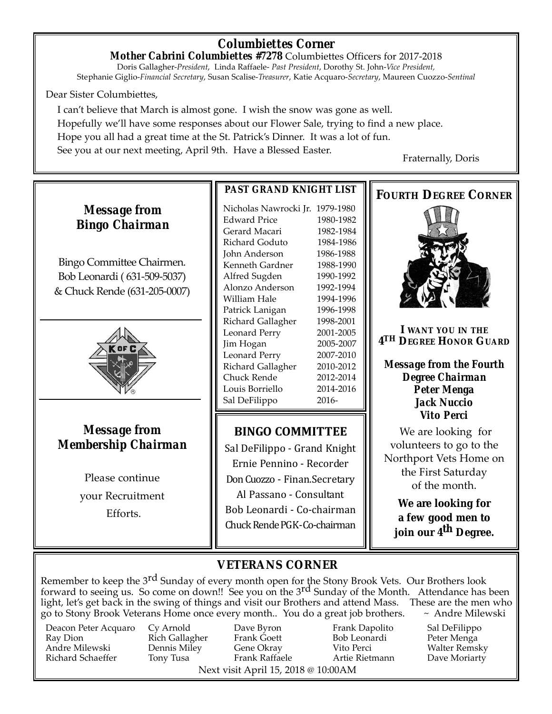## *Columbiettes Corner*

*Mother Cabrini Columbiettes #7278* Columbiettes Officers for 2017-2018 Doris Gallagher-*President*, Linda Raffaele- *Past President*, Dorothy St. John-*Vice President,* Stephanie Giglio-*Financial Secretary*, Susan Scalise-*Treasurer*, Katie Acquaro-*Secretary*, Maureen Cuozzo-*Sentinal*

#### Dear Sister Columbiettes,

I can't believe that March is almost gone. I wish the snow was gone as well. Hopefully we'll have some responses about our Flower Sale, trying to find a new place. Hope you all had a great time at the St. Patrick's Dinner. It was a lot of fun. See you at our next meeting, April 9th. Have a Blessed Easter.<br>Fraternally, Doris

## *Message from Bingo Chairman*

Bingo Committee Chairmen. Bob Leonardi ( 631-509-5037) & Chuck Rende (631-205-0007)



#### *Message from Membership Chairman*

Please continue your Recruitment Efforts.

#### *PAST GRAND KNIGHT LIST*

Nicholas Nawrocki Jr. 1979-1980 Edward Price 1980-1982 Gerard Macari 1982-1984 Richard Goduto 1984-1986 John Anderson 1986-1988 Kenneth Gardner 1988-1990 Alfred Sugden 1990-1992 Alonzo Anderson 1992-1994 William Hale 1994-1996 Patrick Lanigan 1996-1998 Richard Gallagher 1998-2001 Leonard Perry 2001-2005 Jim Hogan 2005-2007 Leonard Perry 2007-2010 Richard Gallagher 2010-2012 Chuck Rende 2012-2014 Louis Borriello 2014-2016 Sal DeFilippo 2016-

### **BINGO COMMITTEE**

Sal DeFilippo - Grand Knight Ernie Pennino - Recorder Don Cuozzo - Finan.Secretary

Al Passano - Consultant Bob Leonardi - Co-chairman Chuck RendePGK-Co-chairman

#### **FOURTH DEGREE CORNER**



**I WANT YOU IN THE 4TH DEGREE HONOR GUARD**

*Message from the Fourth Degree Chairman Peter Menga Jack Nuccio Vito Perci*

We are looking for volunteers to go to the Northport Vets Home on the First Saturday of the month.

**We are looking for a few good men to join our 4th Degree.**

### **VETERANS CORNER**

Remember to keep the 3<sup>rd</sup> Sunday of every month open for the Stony Brook Vets. Our Brothers look forward to seeing us. So come on down!! See you on the 3<sup>rd</sup> Sunday of the Month. Attendance has been light, let's get back in the swing of things and visit our Brothers and attend Mass. These are the men who go to Stony Brook Veterans Home once every month.. You do a great job brothers.  $\sim$  Andre Milewski go to Stony Brook Veterans Home once every month.. You do a great job brothers.

Deacon Peter Acquaro Cy Arnold Dave Byron Frank Dapolito Sal DeFilippo Andre Milewski Dennis Miley Gene Okray Vito Perci Walter Remsky

Ray Dion Rich Gallagher Frank Goett Bob Leonardi Peter Menga Next visit April 15, 2018 @ 10:00AM

Dave Moriarty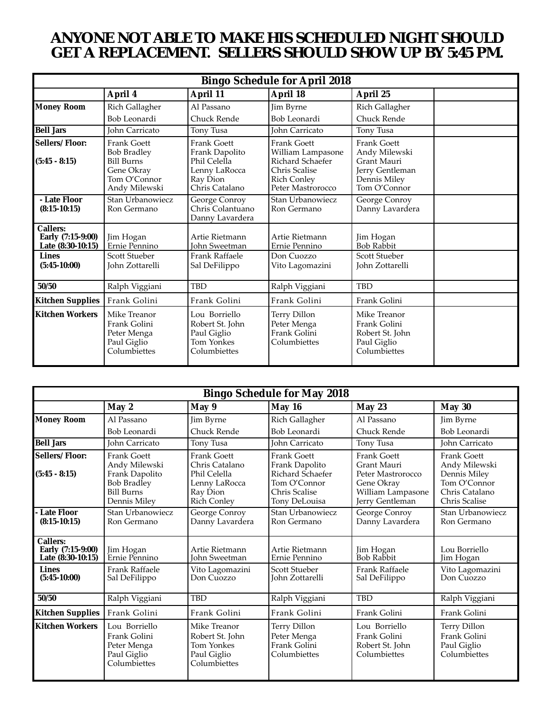## *ANYONE NOT ABLE TO MAKE HIS SCHEDULED NIGHT SHOULD GET A REPLACEMENT. SELLERS SHOULD SHOW UP BY 5:45 PM.*

| <b>Bingo Schedule for April 2018</b>                      |                                                                                                       |                                                                                              |                                                                                                                  |                                                                                                       |  |  |
|-----------------------------------------------------------|-------------------------------------------------------------------------------------------------------|----------------------------------------------------------------------------------------------|------------------------------------------------------------------------------------------------------------------|-------------------------------------------------------------------------------------------------------|--|--|
|                                                           | April 4                                                                                               | April 11                                                                                     | April 18                                                                                                         | April 25                                                                                              |  |  |
| <b>Money Room</b>                                         | Rich Gallagher                                                                                        | Al Passano                                                                                   | Jim Byrne                                                                                                        | Rich Gallagher                                                                                        |  |  |
|                                                           | Bob Leonardi                                                                                          | Chuck Rende                                                                                  | Bob Leonardi                                                                                                     | Chuck Rende                                                                                           |  |  |
| <b>Bell Jars</b>                                          | John Carricato                                                                                        | Tony Tusa                                                                                    | John Carricato                                                                                                   | Tony Tusa                                                                                             |  |  |
| Sellers/Floor:<br>$(5:45 - 8:15)$                         | Frank Goett<br><b>Bob Bradley</b><br><b>Bill Burns</b><br>Gene Okray<br>Tom O'Connor<br>Andy Milewski | Frank Goett<br>Frank Dapolito<br>Phil Celella<br>Lenny LaRocca<br>Ray Dion<br>Chris Catalano | Frank Goett<br>William Lampasone<br>Richard Schaefer<br>Chris Scalise<br><b>Rich Conley</b><br>Peter Mastrorocco | <b>Frank Goett</b><br>Andy Milewski<br>Grant Mauri<br>Jerry Gentleman<br>Dennis Miley<br>Tom O'Connor |  |  |
| - Late Floor<br>$(8:15-10:15)$                            | Stan Urbanowiecz<br>Ron Germano                                                                       | George Conroy<br>Chris Colantuano<br>Danny Lavardera                                         | Stan Urbanowiecz<br>Ron Germano                                                                                  | George Conroy<br>Danny Lavardera                                                                      |  |  |
| <b>Callers:</b><br>Early (7:15-9:00)<br>Late (8:30-10:15) | Jim Hogan<br>Ernie Pennino                                                                            | Artie Rietmann<br>John Sweetman                                                              | Artie Rietmann<br>Ernie Pennino                                                                                  | Jim Hogan<br><b>Bob Rabbit</b>                                                                        |  |  |
| <b>Lines</b><br>$(5:45-10:00)$                            | Scott Stueber<br>John Zottarelli                                                                      | Frank Raffaele<br>Sal DeFilippo                                                              | Don Cuozzo<br>Vito Lagomazini                                                                                    | Scott Stueber<br>John Zottarelli                                                                      |  |  |
| 50/50                                                     | Ralph Viggiani                                                                                        | <b>TBD</b>                                                                                   | Ralph Viggiani                                                                                                   | <b>TBD</b>                                                                                            |  |  |
| <b>Kitchen Supplies</b>                                   | Frank Golini                                                                                          | Frank Golini                                                                                 | Frank Golini                                                                                                     | Frank Golini                                                                                          |  |  |
| Kitchen Workers                                           | Mike Treanor<br>Frank Golini<br>Peter Menga<br>Paul Giglio<br>Columbiettes                            | Lou Borriello<br>Robert St. John<br>Paul Giglio<br><b>Tom Yonkes</b><br>Columbiettes         | Terry Dillon<br>Peter Menga<br>Frank Golini<br>Columbiettes                                                      | Mike Treanor<br>Frank Golini<br>Robert St. John<br>Paul Giglio<br>Columbiettes                        |  |  |

| <b>Bingo Schedule for May 2018</b>                 |                                                                                                           |                                                                                                         |                                                                                                            |                                                                                                              |                                                                                                        |  |
|----------------------------------------------------|-----------------------------------------------------------------------------------------------------------|---------------------------------------------------------------------------------------------------------|------------------------------------------------------------------------------------------------------------|--------------------------------------------------------------------------------------------------------------|--------------------------------------------------------------------------------------------------------|--|
|                                                    | May 2                                                                                                     | May 9                                                                                                   | May 16                                                                                                     | May 23                                                                                                       | May 30                                                                                                 |  |
| <b>Money Room</b>                                  | Al Passano                                                                                                | Jim Byrne                                                                                               | Rich Gallagher                                                                                             | Al Passano                                                                                                   | Jim Byrne                                                                                              |  |
|                                                    | Bob Leonardi                                                                                              | Chuck Rende                                                                                             | Bob Leonardi                                                                                               | Chuck Rende                                                                                                  | Bob Leonardi                                                                                           |  |
| <b>Bell Jars</b>                                   | John Carricato                                                                                            | Tony Tusa                                                                                               | John Carricato                                                                                             | Tony Tusa                                                                                                    | John Carricato                                                                                         |  |
| Sellers/Floor:<br>$(5:45 - 8:15)$                  | Frank Goett<br>Andy Milewski<br>Frank Dapolito<br><b>Bob Bradley</b><br><b>Bill Burns</b><br>Dennis Miley | <b>Frank Goett</b><br>Chris Catalano<br>Phil Celella<br>Lenny LaRocca<br>Ray Dion<br><b>Rich Conley</b> | <b>Frank Goett</b><br>Frank Dapolito<br>Richard Schaefer<br>Tom O'Connor<br>Chris Scalise<br>Tony DeLouisa | <b>Frank Goett</b><br>Grant Mauri<br>Peter Mastrorocco<br>Gene Okray<br>William Lampasone<br>Jerry Gentleman | <b>Frank Goett</b><br>Andy Milewski<br>Dennis Miley<br>Tom O'Connor<br>Chris Catalano<br>Chris Scalise |  |
| <b>Late Floor</b><br>$(8:15-10:15)$                | Stan Urbanowiecz<br>Ron Germano                                                                           | George Conroy<br>Danny Lavardera                                                                        | Stan Urbanowiecz<br>Ron Germano                                                                            | George Conroy<br>Danny Lavardera                                                                             | Stan Urbanowiecz<br>Ron Germano                                                                        |  |
| Callers:<br>Early (7:15-9:00)<br>Late (8:30-10:15) | Jim Hogan<br>Ernie Pennino                                                                                | Artie Rietmann<br><b>John Sweetman</b>                                                                  | Artie Rietmann<br>Ernie Pennino                                                                            | Jim Hogan<br>Bob Rabbit                                                                                      | Lou Borriello<br>Jim Hogan                                                                             |  |
| <b>Lines</b><br>$(5:45-10:00)$                     | Frank Raffaele<br>Sal DeFilippo                                                                           | Vito Lagomazini<br>Don Cuozzo                                                                           | Scott Stueber<br><b>John Zottarelli</b>                                                                    | Frank Raffaele<br>Sal DeFilippo                                                                              | Vito Lagomazini<br>Don Cuozzo                                                                          |  |
| 50/50                                              | Ralph Viggiani                                                                                            | <b>TBD</b>                                                                                              | Ralph Viggiani                                                                                             | <b>TBD</b>                                                                                                   | Ralph Viggiani                                                                                         |  |
| <b>Kitchen Supplies</b>                            | Frank Golini                                                                                              | Frank Golini                                                                                            | Frank Golini                                                                                               | Frank Golini                                                                                                 | Frank Golini                                                                                           |  |
| <b>Kitchen Workers</b>                             | Lou Borriello<br>Frank Golini<br>Peter Menga<br>Paul Giglio<br>Columbiettes                               | Mike Treanor<br>Robert St. John<br><b>Tom Yonkes</b><br>Paul Giglio<br>Columbiettes                     | Terry Dillon<br>Peter Menga<br>Frank Golini<br>Columbiettes                                                | Lou Borriello<br>Frank Golini<br>Robert St. John<br>Columbiettes                                             | Terry Dillon<br>Frank Golini<br>Paul Giglio<br>Columbiettes                                            |  |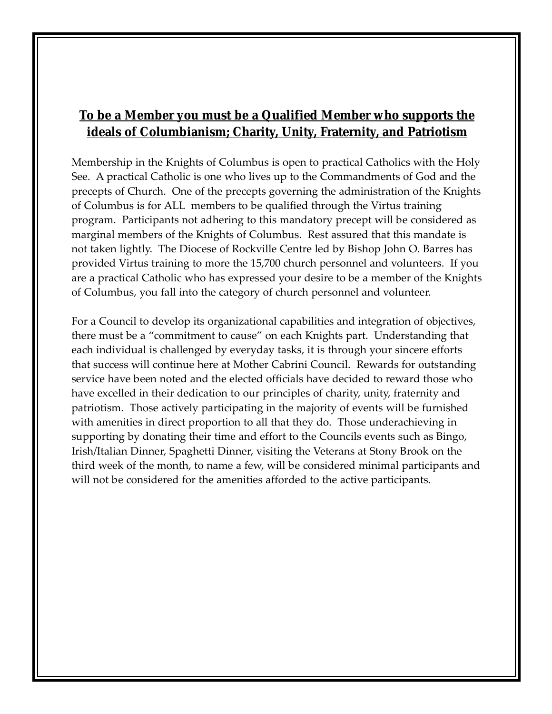## **To be a Member you must be a Qualified Member who supports the ideals of Columbianism; Charity, Unity, Fraternity, and Patriotism**

Membership in the Knights of Columbus is open to practical Catholics with the Holy See. A practical Catholic is one who lives up to the Commandments of God and the precepts of Church. One of the precepts governing the administration of the Knights of Columbus is for ALL members to be qualified through the Virtus training program. Participants not adhering to this mandatory precept will be considered as marginal members of the Knights of Columbus. Rest assured that this mandate is not taken lightly. The Diocese of Rockville Centre led by Bishop John O. Barres has provided Virtus training to more the 15,700 church personnel and volunteers. If you are a practical Catholic who has expressed your desire to be a member of the Knights of Columbus, you fall into the category of church personnel and volunteer.

For a Council to develop its organizational capabilities and integration of objectives, there must be a "commitment to cause" on each Knights part. Understanding that each individual is challenged by everyday tasks, it is through your sincere efforts that success will continue here at Mother Cabrini Council. Rewards for outstanding service have been noted and the elected officials have decided to reward those who have excelled in their dedication to our principles of charity, unity, fraternity and patriotism. Those actively participating in the majority of events will be furnished with amenities in direct proportion to all that they do. Those underachieving in supporting by donating their time and effort to the Councils events such as Bingo, Irish/Italian Dinner, Spaghetti Dinner, visiting the Veterans at Stony Brook on the third week of the month, to name a few, will be considered minimal participants and will not be considered for the amenities afforded to the active participants.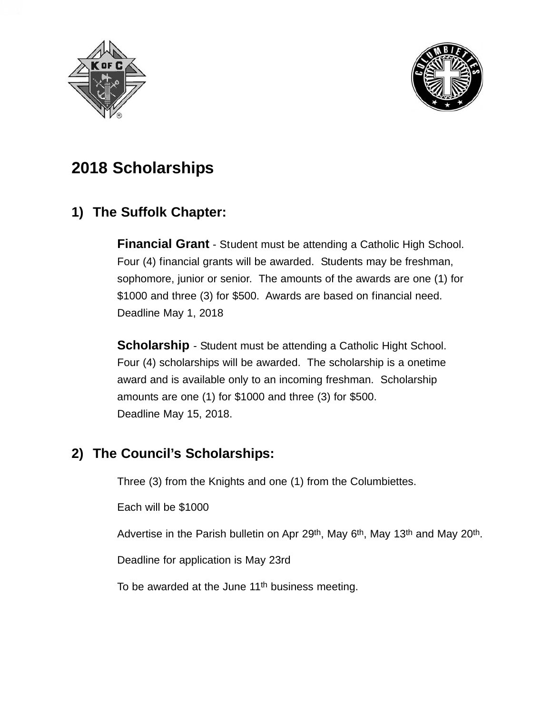



# **2018 Scholarships**

## **1) The Suffolk Chapter:**

**Financial Grant** - Student must be attending a Catholic High School. Four (4) financial grants will be awarded. Students may be freshman, sophomore, junior or senior. The amounts of the awards are one (1) for \$1000 and three (3) for \$500. Awards are based on financial need. Deadline May 1, 2018

**Scholarship** - Student must be attending a Catholic Hight School. Four (4) scholarships will be awarded. The scholarship is a onetime award and is available only to an incoming freshman. Scholarship amounts are one (1) for \$1000 and three (3) for \$500. Deadline May 15, 2018.

## **2) The Council's Scholarships:**

Three (3) from the Knights and one (1) from the Columbiettes.

Each will be \$1000

Advertise in the Parish bulletin on Apr 29<sup>th</sup>, May 6<sup>th</sup>, May 13<sup>th</sup> and May 20<sup>th</sup>.

Deadline for application is May 23rd

To be awarded at the June 11<sup>th</sup> business meeting.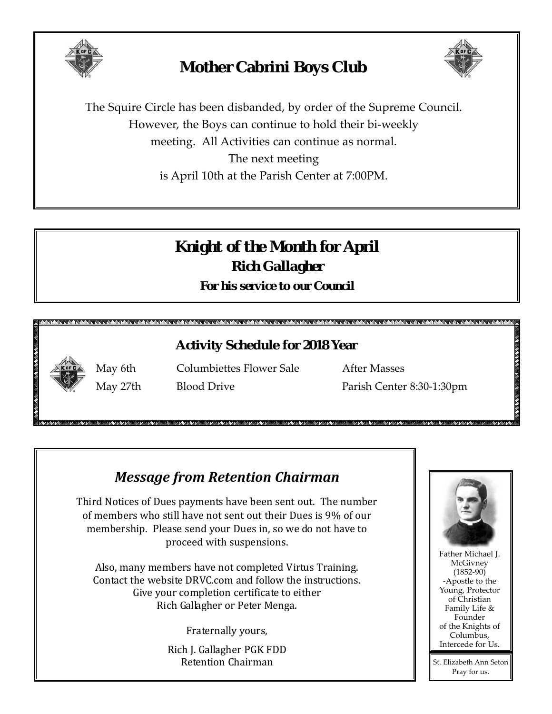

# **Mother Cabrini Boys Club**



The Squire Circle has been disbanded, by order of the Supreme Council. However, the Boys can continue to hold their bi-weekly meeting. All Activities can continue as normal. The next meeting is April 10th at the Parish Center at 7:00PM.

# *Knight of the Month for April Rich Gallagher For his service to our Council*

## **Activity Schedule for 2018 Year**



May 6th Columbiettes Flower Sale After Masses May 27th Blood Drive Parish Center 8:30-1:30pm

# *Message from Retention Chairman*

Third Notices of Dues payments have been sent out. The number of members who still have not sent out their Dues is 9% of our membership. Please send your Dues in, so we do not have to proceed with suspensions.

Also, many members have not completed Virtus Training. Contact the website DRVC.com and follow the instructions. Give your completion certificate to either Rich Gallagher or Peter Menga.

Fraternally yours,

Rich J. Gallagher PGK FDD Retention Chairman

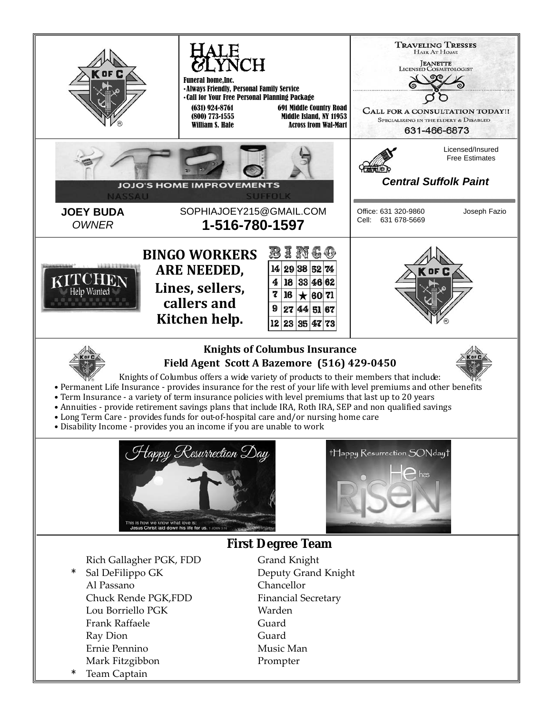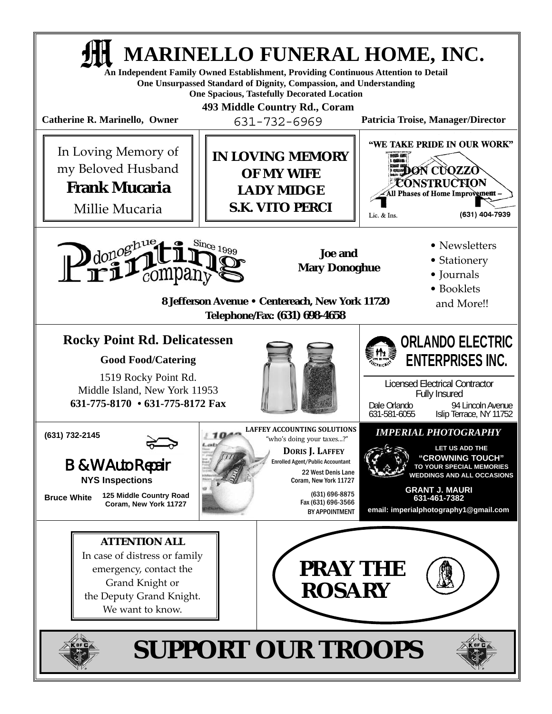